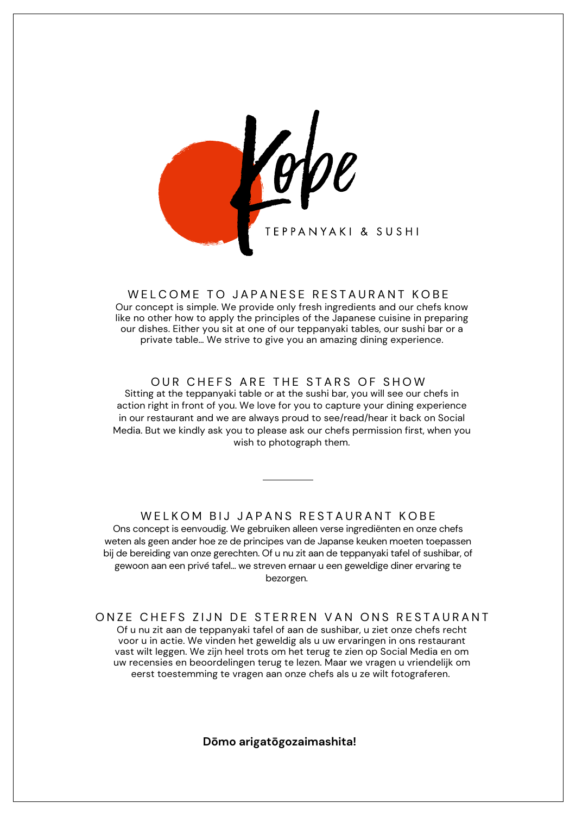

#### WELCOME TO JAPANESE RESTAURANT KOBE

Our concept is simple. We provide only fresh ingredients and our chefs know like no other how to apply the principles of the Japanese cuisine in preparing our dishes. Either you sit at one of our teppanyaki tables, our sushi bar or a private table… We strive to give you an amazing dining experience.

#### OUR CHEFS ARE THE STARS OF SHOW

Sitting at the teppanyaki table or at the sushi bar, you will see our chefs in action right in front of you. We love for you to capture your dining experience in our restaurant and we are always proud to see/read/hear it back on Social Media. But we kindly ask you to please ask our chefs permission first, when you wish to photograph them.

Ons concept is eenvoudig. We gebruiken alleen verse ingrediënten en onze chefs weten als geen ander hoe ze de principes van de Japanse keuken moeten toepassen bij de bereiding van onze gerechten. Of u nu zit aan de teppanyaki tafel of sushibar, of gewoon aan een privé tafel… we streven ernaar u een geweldige diner ervaring te bezorgen. WELKOM BIJ JAPANS RESTAURANT KOBE

Of u nu zit aan de teppanyaki tafel of aan de sushibar, u ziet onze chefs recht voor u in actie. We vinden het geweldig als u uw ervaringen in ons restaurant vast wilt leggen. We zijn heel trots om het terug te zien op Social Media en om uw recensies en beoordelingen terug te lezen. Maar we vragen u vriendelijk om eerst toestemming te vragen aan onze chefs als u ze wilt fotograferen. ONZE CHEFS ZIJN DE STERREN VAN ONS RESTAURANT

**Dōmo arigatōgozaimashita!**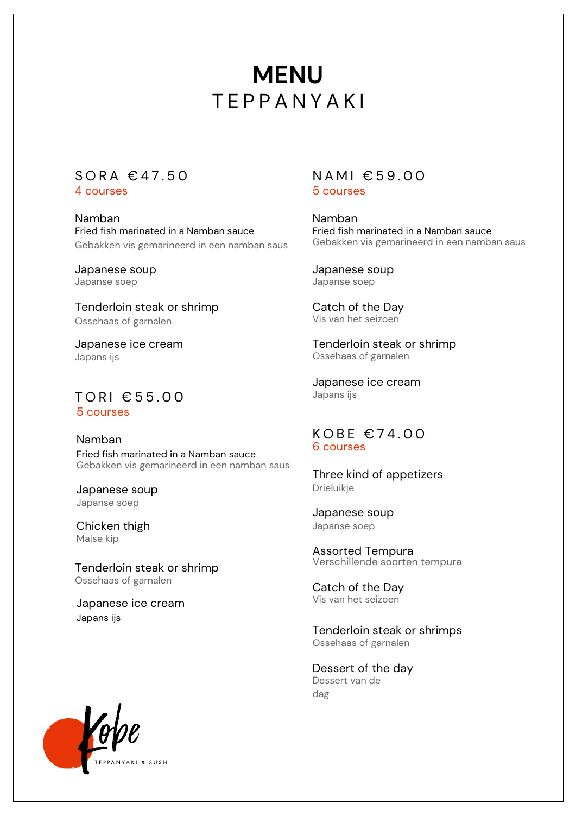# **TEPPANYAKI MENU**

## $S$  O R A  $\in$  47.50

4 courses

Namban Fried fish marinated in a Namban sauce Gebakken vis gemarineerd in een namban saus

Japanese soup Japanse soep

Tenderloin steak or shrimp Ossehaas of garnalen

Japanese ice cream Japans ijs

5 courses TORI €55.00

Namban Fried fish marinated in a Namban sauce Gebakken vis gemarineerd in een namban saus

Japanese soup Japanse soep

Chicken thigh Malse kip

Tenderloin steak or shrimp Ossehaas of garnalen

Japanese ice cream Japans ijs

### 5 courses  $N AMI \text{ } \in 59,00$

Namban Fried fish marinated in a Namban sauce Gebakken vis gemarineerd in een namban saus

Japanese soup Japanse soep

Catch of the Day Vis van het seizoen

Tenderloin steak or shrimp Ossehaas of garnalen

Japanese ice cream Japans ijs

#### 6 courses  $KOBE \in 74.00$

Three kind of appetizers Drieluikje

Japanese soup Japanse soep

Assorted Tempura Verschillende soorten tempura

Catch of the Day Vis van het seizoen

Tenderloin steak or shrimps Ossehaas of garnalen

Dessert of the day Dessert van de dag

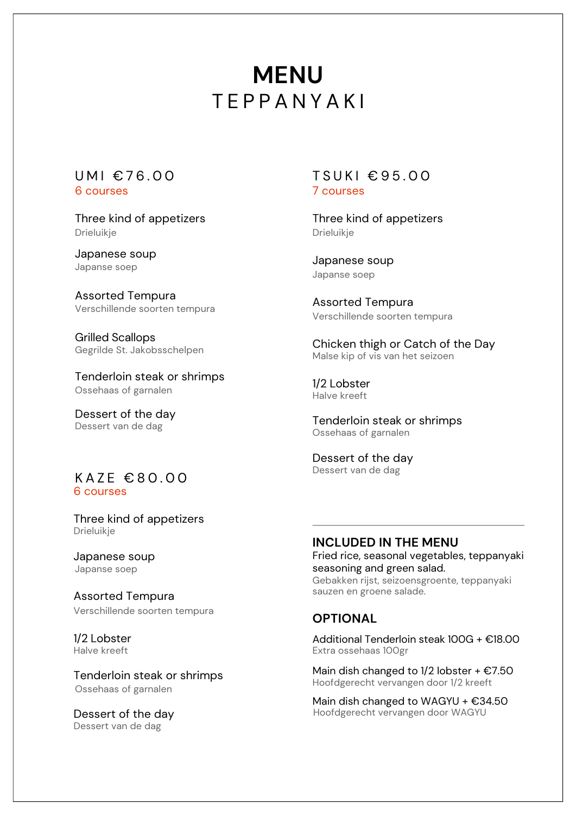# **MENU** T E P P A N Y A K I

# 6 courses

Three kind of appetizers Drieluikje

Japanese soup Japanse soep

Assorted Tempura Verschillende soorten tempura

Grilled Scallops Gegrilde St. Jakobsschelpen

Tenderloin steak or shrimps Ossehaas of garnalen

Dessert of the day Dessert van de dag

#### KAZE €80.00 6 courses

Three kind of appetizers Drieluikje

Japanese soup Japanse soep

Assorted Tempura Verschillende soorten tempura

1/2 Lobster Halve kreeft

Tenderloin steak or shrimps Ossehaas of garnalen

Dessert of the day Dessert van de dag

#### 7 courses UMI $\epsilon$ 76.00 TSUKI $\epsilon$ 95.00

Three kind of appetizers Drieluikje

Japanese soup Japanse soep

Assorted Tempura Verschillende soorten tempura

Chicken thigh or Catch of the Day Malse kip of vis van het seizoen

1/2 Lobster Halve kreeft

Tenderloin steak or shrimps Ossehaas of garnalen

Dessert of the day Dessert van de dag

### **INCLUDED IN THE MENU**

Fried rice, seasonal vegetables, teppanyaki seasoning and green salad. Gebakken rijst, seizoensgroente, teppanyaki sauzen en groene salade.

### **OPTIONAL**

Additional Tenderloin steak 100G + €18.00 Extra ossehaas 100gr

Main dish changed to  $1/2$  lobster +  $\epsilon$ 7.50 Hoofdgerecht vervangen door 1/2 kreeft

Main dish changed to WAGYU +  $€34.50$ Hoofdgerecht vervangen door WAGYU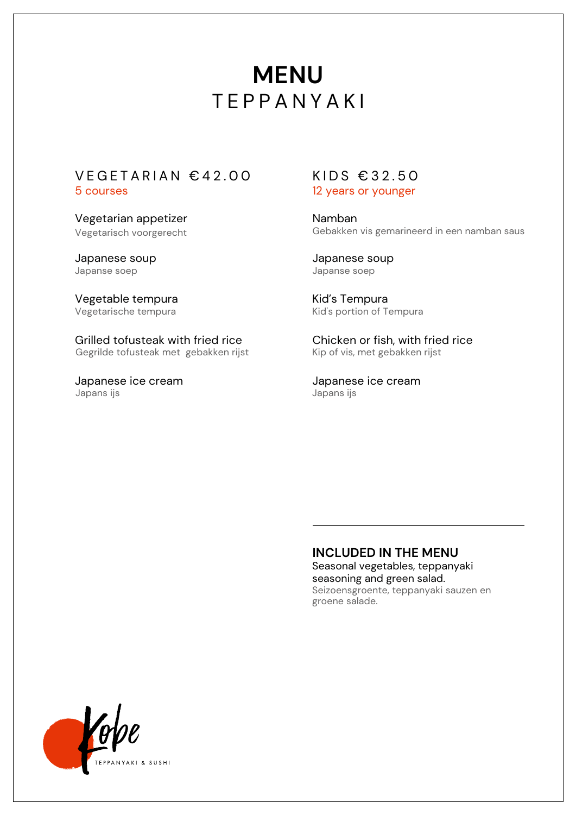# **MENU TEPPANYAKI**

#### 5 courses  $VEGETARIAN \text{ } \in 42.00$  KIDS  $\in 32.50$

Vegetarian appetizer Vegetarisch voorgerecht

Japanese soup Japanse soep

Vegetable tempura Vegetarische tempura

Grilled tofusteak with fried rice Gegrilde tofusteak met gebakken rijst

Japanese ice cream Japans ijs

# 12 years or younger

Namban Gebakken vis gemarineerd in een namban saus

Japanese soup Japanse soep

Kid's Tempura Kid's portion of Tempura

Chicken or fish, with fried rice Kip of vis, met gebakken rijst

Japanese ice cream Japans ijs

### Seasonal vegetables, teppanyaki **INCLUDED IN THE MENU**

seasoning and green salad. Seizoensgroente, teppanyaki sauzen en groene salade.

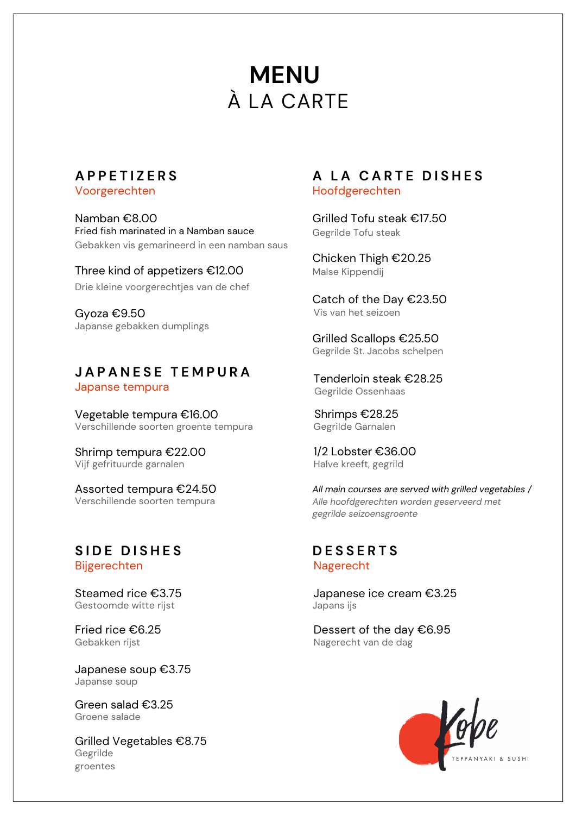# À LA CARTE **MENU**

## **A P P E T I Z E R S**

Voorgerechten

Namban €8.00 Fried fish marinated in a Namban sauce Gebakken vis gemarineerd in een namban saus

Three kind of appetizers €12.00 Drie kleine voorgerechtjes van de chef

Gyoza €9.50 Japanse gebakken dumplings

### Japanse tempura **J A P A N E S E T E M P U R A**

Vegetable tempura €16.00 Verschillende soorten groente tempura

Shrimp tempura €22.00 Vijf gefrituurde garnalen

Assorted tempura €24.50 Verschillende soorten tempura

#### Bijgerechten  $S$  **IDE** DISHES

Steamed rice €3.75 Gestoomde witte rijst

Fried rice €6.25 Gebakken rijst

Japanese soup €3.75 Japanse soup

Green salad €3.25 Groene salade

Grilled Vegetables €8.75 Gegrilde groentes

### Hoofdgerechten **A L A C A R T E D I S H E S**

Grilled Tofu steak €17.50 Gegrilde Tofu steak

Chicken Thigh €20.25 Malse Kippendij

Catch of the Day €23.50 Vis van het seizoen

Grilled Scallops €25.50 Gegrilde St. Jacobs schelpen

Tenderloin steak €28.25 Gegrilde Ossenhaas

Shrimps €28.25 Gegrilde Garnalen

1/2 Lobster €36.00 Halve kreeft, gegrild

*All main courses are served with grilled vegetables / Alle hoofdgerechten worden geserveerd met gegrilde seizoensgroente*

#### Nagerecht **D E S S E R T S**

Japanese ice cream €3.25 Japans ijs

Dessert of the day €6.95 Nagerecht van de dag

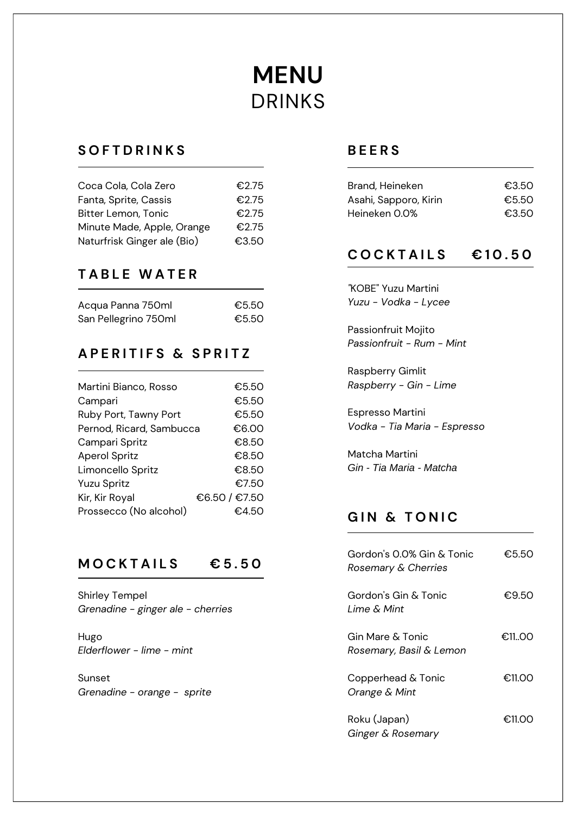# **MENU** DRINKS

## **S O F T D R I N K S**

| Coca Cola, Cola Zero        | €2.75 |
|-----------------------------|-------|
| Fanta, Sprite, Cassis       | €2.75 |
| <b>Bitter Lemon, Tonic</b>  | €2.75 |
| Minute Made, Apple, Orange  | €2.75 |
| Naturfrisk Ginger ale (Bio) | €3.50 |

## **T A B L E W A T E R**

| Acqua Panna 750ml    | €5.50 |
|----------------------|-------|
| San Pellegrino 750ml | €5.50 |

## **A P E R I T I F S & S P R I T Z**

| Martini Bianco, Rosso    | €5.50         |
|--------------------------|---------------|
| Campari                  | €5.50         |
| Ruby Port, Tawny Port    | €5.50         |
| Pernod, Ricard, Sambucca | €6.00         |
| Campari Spritz           | €8.50         |
| <b>Aperol Spritz</b>     | €8.50         |
| Limoncello Spritz        | €8.50         |
| <b>Yuzu Spritz</b>       | €7.50         |
| Kir, Kir Royal           | €6.50 / €7.50 |
| Prossecco (No alcohol)   | €4.50         |
|                          |               |

## **M O C K T A I L S € 5 . 5 0**

Shirley Tempel *Grenadine - ginger ale - cherries*

Hugo *Elderflower - lime - mint*

Sunset *Grenadine - orange - sprite*

## **B E E R S**

| Brand, Heineken       | €3.50 |
|-----------------------|-------|
| Asahi, Sapporo, Kirin | €5.50 |
| Heineken 0.0%         | €3.50 |

## **C O C K T A I L S € 1 0 . 5 0**

*"*KOBE" Yuzu Martini *Yuzu - Vodka - Lycee*

Passionfruit Mojito *Passionfruit - Rum - Mint*

Raspberry Gimlit *Raspberry - Gin - Lime*

Espresso Martini *Vodka - Tia Maria - Espresso*

Matcha Martini *Gin - Tia Maria - Matcha*

# **G I N & T O N I C**

| Gordon's 0.0% Gin & Tonic<br>Rosemary & Cherries | €5.50  |
|--------------------------------------------------|--------|
| Gordon's Gin & Tonic<br>Lime & Mint              | €9.50  |
| Gin Mare & Tonic<br>Rosemary, Basil & Lemon      | €11.00 |
| Copperhead & Tonic<br>Orange & Mint              | €11.00 |
| Roku (Japan)<br>Ginger & Rosemary                | €11.00 |